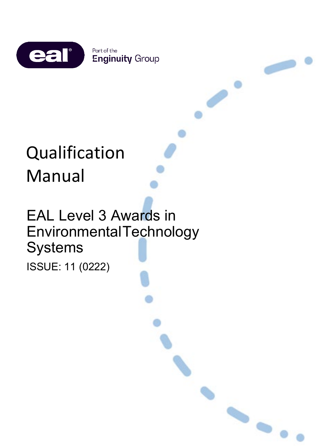

 $\rightarrow$ 

 $\rightarrow$ 

# Qualification Manual

## EAL Level 3 Awards in EnvironmentalTechnology **Systems** ISSUE: 11 (0222)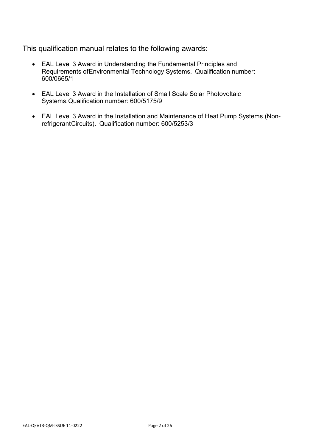This qualification manual relates to the following awards:

- EAL Level 3 Award in Understanding the Fundamental Principles and Requirements ofEnvironmental Technology Systems. Qualification number: 600/0665/1
- EAL Level 3 Award in the Installation of Small Scale Solar Photovoltaic Systems.Qualification number: 600/5175/9
- EAL Level 3 Award in the Installation and Maintenance of Heat Pump Systems (NonrefrigerantCircuits). Qualification number: 600/5253/3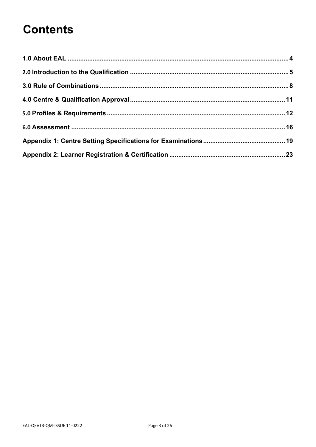## **Contents**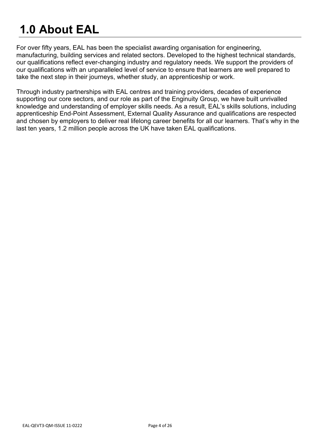## <span id="page-3-0"></span>**1.0 About EAL**

For over fifty years, EAL has been the specialist awarding organisation for engineering, manufacturing, building services and related sectors. Developed to the highest technical standards, our qualifications reflect ever-changing industry and regulatory needs. We support the providers of our qualifications with an unparalleled level of service to ensure that learners are well prepared to take the next step in their journeys, whether study, an apprenticeship or work.

Through industry partnerships with EAL centres and training providers, decades of experience supporting our core sectors, and our role as part of the Enginuity Group, we have built unrivalled knowledge and understanding of employer skills needs. As a result, EAL's skills solutions, including apprenticeship End-Point Assessment, External Quality Assurance and qualifications are respected and chosen by employers to deliver real lifelong career benefits for all our learners. That's why in the last ten years, 1.2 million people across the UK have taken EAL qualifications.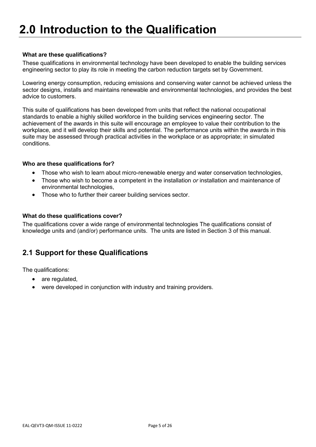#### <span id="page-4-0"></span>**What are these qualifications?**

These qualifications in environmental technology have been developed to enable the building services engineering sector to play its role in meeting the carbon reduction targets set by Government.

Lowering energy consumption, reducing emissions and conserving water cannot be achieved unless the sector designs, installs and maintains renewable and environmental technologies, and provides the best advice to customers.

This suite of qualifications has been developed from units that reflect the national occupational standards to enable a highly skilled workforce in the building services engineering sector. The achievement of the awards in this suite will encourage an employee to value their contribution to the workplace, and it will develop their skills and potential. The performance units within the awards in this suite may be assessed through practical activities in the workplace or as appropriate; in simulated conditions.

#### **Who are these qualifications for?**

- Those who wish to learn about micro-renewable energy and water conservation technologies,
- Those who wish to become a competent in the installation *or* installation and maintenance of environmental technologies,
- Those who to further their career building services sector.

#### **What do these qualifications cover?**

The qualifications cover a wide range of environmental technologies The qualifications consist of knowledge units and (and/or) performance units. The units are listed in Section 3 of this manual.

## **2.1 Support for these Qualifications**

The qualifications:

- are regulated,
- were developed in conjunction with industry and training providers.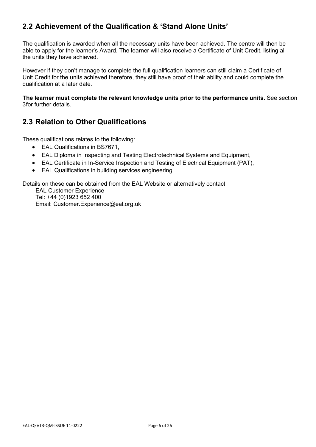## **2.2 Achievement of the Qualification & 'Stand Alone Units'**

The qualification is awarded when all the necessary units have been achieved. The centre will then be able to apply for the learner's Award. The learner will also receive a Certificate of Unit Credit, listing all the units they have achieved.

However if they don't manage to complete the full qualification learners can still claim a Certificate of Unit Credit for the units achieved therefore, they still have proof of their ability and could complete the qualification at a later date.

**The learner must complete the relevant knowledge units prior to the performance units.** [See section](#page-6-0)  [3f](#page-6-0)or further details.

## **2.3 Relation to Other Qualifications**

These qualifications relates to the following:

- EAL Qualifications in BS7671,
- EAL Diploma in Inspecting and Testing Electrotechnical Systems and Equipment,
- EAL Certificate in In-Service Inspection and Testing of Electrical Equipment (PAT),
- EAL Qualifications in building services engineering.

Details on these can be obtained from the EAL Website or alternatively contact:

EAL Customer Experience Tel: +44 (0)1923 652 400 Email: Customer.Experience@eal.org.uk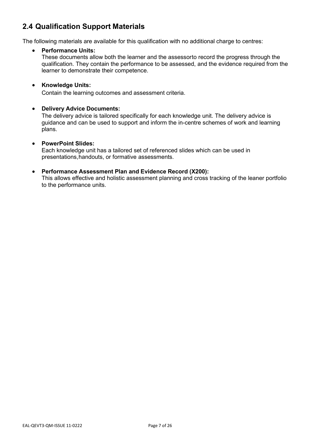## <span id="page-6-0"></span>**2.4 Qualification Support Materials**

The following materials are available for this qualification with no additional charge to centres:

#### • **Performance Units:**

These documents allow both the learner and the assessorto record the progress through the qualification. They contain the performance to be assessed, and the evidence required from the learner to demonstrate their competence.

#### • **Knowledge Units:**

Contain the learning outcomes and assessment criteria.

#### • **Delivery Advice Documents:**

The delivery advice is tailored specifically for each knowledge unit. The delivery advice is guidance and can be used to support and inform the in-centre schemes of work and learning plans.

#### • **PowerPoint Slides:**

Each knowledge unit has a tailored set of referenced slides which can be used in presentations,handouts, or formative assessments.

#### • **Performance Assessment Plan and Evidence Record (X200):**

This allows effective and holistic assessment planning and cross tracking of the leaner portfolio to the performance units.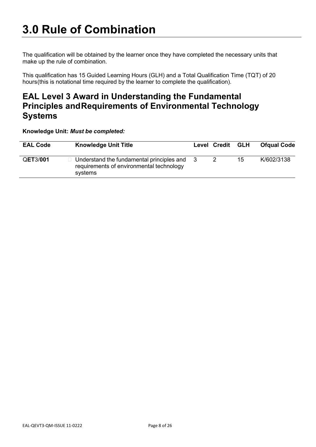<span id="page-7-0"></span>The qualification will be obtained by the learner once they have completed the necessary units that make up the rule of combination.

This qualification has 15 Guided Learning Hours (GLH) and a Total Qualification Time (TQT) of 20 hours(this is notational time required by the learner to complete the qualification).

## **EAL Level 3 Award in Understanding the Fundamental Principles andRequirements of Environmental Technology Systems**

**Knowledge Unit:** *Must be completed:*

| <b>EAL Code</b> | <b>Knowledge Unit Title</b>                                                                      | Level Credit | <b>GLH</b> | <b>Ofqual Code</b> |
|-----------------|--------------------------------------------------------------------------------------------------|--------------|------------|--------------------|
| QET3/001        | Understand the fundamental principles and<br>requirements of environmental technology<br>systems |              | 15         | K/602/3138         |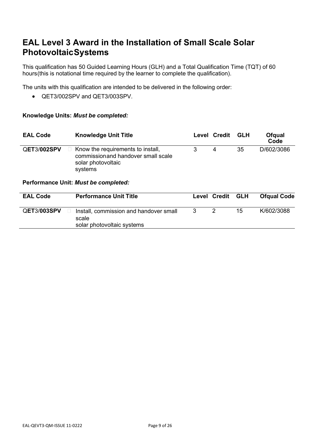## **EAL Level 3 Award in the Installation of Small Scale Solar PhotovoltaicSystems**

This qualification has 50 Guided Learning Hours (GLH) and a Total Qualification Time (TQT) of 60 hours(this is notational time required by the learner to complete the qualification).

The units with this qualification are intended to be delivered in the following order:

• QET3/002SPV and QET3/003SPV.

#### **Knowledge Units:** *Must be completed:*

| <b>EAL Code</b> | <b>Knowledge Unit Title</b>                                                                               | Level | Credit | <b>GLH</b> | <b>Ofgual</b><br>Code |
|-----------------|-----------------------------------------------------------------------------------------------------------|-------|--------|------------|-----------------------|
| QET3/002SPV     | Know the requirements to install,<br>commission and handover small scale<br>solar photovoltaic<br>systems | 3     | 4      | 35         | D/602/3086            |
|                 | Performance Unit: Must be completed:                                                                      |       |        |            |                       |
| <b>EAL Code</b> | <b>Performance Unit Title</b>                                                                             | Level | Credit | <b>GLH</b> | <b>Ofqual Code</b>    |
| QET3/003SPV     | Install, commission and handover small<br>scale<br>solar photovoltaic systems                             | 3     | 2      | 15         | K/602/3088            |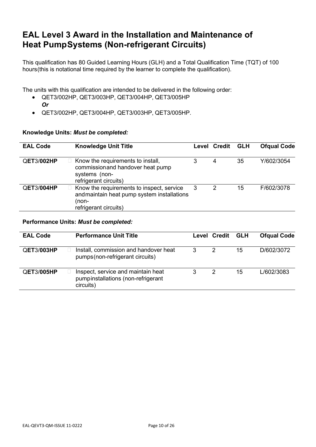## **EAL Level 3 Award in the Installation and Maintenance of Heat PumpSystems (Non-refrigerant Circuits)**

This qualification has 80 Guided Learning Hours (GLH) and a Total Qualification Time (TQT) of 100 hours(this is notational time required by the learner to complete the qualification).

The units with this qualification are intended to be delivered in the following order:

- QET3/002HP, QET3/003HP, QET3/004HP, QET3/005HP *Or*
- QET3/002HP, QET3/004HP, QET3/003HP, QET3/005HP.

#### **Knowledge Units:** *Must be completed:*

| <b>EAL Code</b>   |       | <b>Knowledge Unit Title</b>                                                                                       | Level | Credit | <b>GLH</b> | <b>Ofqual Code</b> |
|-------------------|-------|-------------------------------------------------------------------------------------------------------------------|-------|--------|------------|--------------------|
| QET3/002HP        |       | Know the requirements to install,<br>commissionand handover heat pump<br>systems (non-<br>refrigerant circuits)   | 3     | 4      | 35         | Y/602/3054         |
| <b>QET3/004HP</b> | (non- | Know the requirements to inspect, service<br>and maintain heat pump system installations<br>refrigerant circuits) | 3     | 2      | 15         | F/602/3078         |

#### **Performance Units:** *Must be completed:*

| <b>EAL Code</b>   | <b>Performance Unit Title</b>                                                         |   | Level Credit | GLH | <b>Ofqual Code</b> |
|-------------------|---------------------------------------------------------------------------------------|---|--------------|-----|--------------------|
| <b>QET3/003HP</b> | Install, commission and handover heat<br>pumps (non-refrigerant circuits)             | 3 | 2            | 15  | D/602/3072         |
| QET3/005HP        | Inspect, service and maintain heat<br>pumpinstallations (non-refrigerant<br>circuits) | 3 | 2            | 15  | L/602/3083         |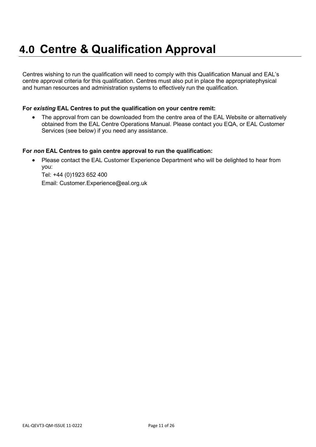## <span id="page-10-0"></span>**4.0 Centre & Qualification Approval**

Centres wishing to run the qualification will need to comply with this Qualification Manual and EAL's centre approval criteria for this qualification. Centres must also put in place the appropriatephysical and human resources and administration systems to effectively run the qualification.

#### **For** *existing* **EAL Centres to put the qualification on your centre remit:**

• The approval from can be downloaded from the centre area of the EAL Website or alternatively obtained from the EAL Centre Operations Manual. Please contact you EQA, or EAL Customer Services (see below) if you need any assistance.

#### **For** *non* **EAL Centres to gain centre approval to run the qualification:**

• Please contact the EAL Customer Experience Department who will be delighted to hear from you:

Tel: +44 (0)1923 652 400 Email: Customer.Experience@eal.org.uk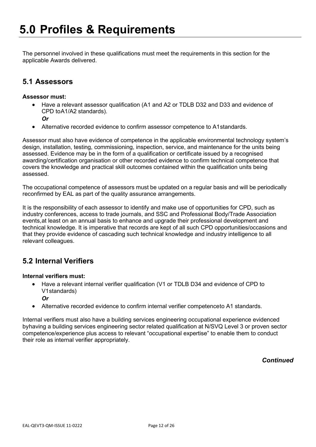<span id="page-11-0"></span>The personnel involved in these qualifications must meet the requirements in this section for the applicable Awards delivered.

### **5.1 Assessors**

#### **Assessor must:**

- Have a relevant assessor qualification (A1 and A2 or TDLB D32 and D33 and evidence of CPD toA1/A2 standards).
	- *Or*
	- Alternative recorded evidence to confirm assessor competence to A1standards.

Assessor must also have evidence of competence in the applicable environmental technology system's design, installation, testing, commissioning, inspection, service, and maintenance for the units being assessed. Evidence may be in the form of a qualification or certificate issued by a recognised awarding/certification organisation or other recorded evidence to confirm technical competence that covers the knowledge and practical skill outcomes contained within the qualification units being assessed.

The occupational competence of assessors must be updated on a regular basis and will be periodically reconfirmed by EAL as part of the quality assurance arrangements.

It is the responsibility of each assessor to identify and make use of opportunities for CPD, such as industry conferences, access to trade journals, and SSC and Professional Body/Trade Association events,at least on an annual basis to enhance and upgrade their professional development and technical knowledge. It is imperative that records are kept of all such CPD opportunities/occasions and that they provide evidence of cascading such technical knowledge and industry intelligence to all relevant colleagues.

### **5.2 Internal Verifiers**

#### **Internal verifiers must:**

- Have a relevant internal verifier qualification (V1 or TDLB D34 and evidence of CPD to V1standards)
	- *Or*
- Alternative recorded evidence to confirm internal verifier competenceto A1 standards.

Internal verifiers must also have a building services engineering occupational experience evidenced byhaving a building services engineering sector related qualification at N/SVQ Level 3 or proven sector competence/experience plus access to relevant "occupational expertise" to enable them to conduct their role as internal verifier appropriately.

*Continued*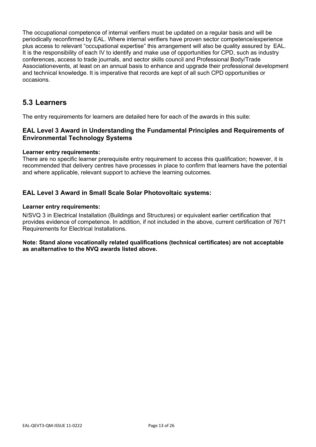The occupational competence of internal verifiers must be updated on a regular basis and will be periodically reconfirmed by EAL. Where internal verifiers have proven sector competence/experience plus access to relevant "occupational expertise" this arrangement will also be quality assured by EAL. It is the responsibility of each IV to identify and make use of opportunities for CPD, such as industry conferences, access to trade journals, and sector skills council and Professional Body/Trade Associationevents, at least on an annual basis to enhance and upgrade their professional development and technical knowledge. It is imperative that records are kept of all such CPD opportunities or occasions.

### **5.3 Learners**

The entry requirements for learners are detailed here for each of the awards in this suite:

#### **EAL Level 3 Award in Understanding the Fundamental Principles and Requirements of Environmental Technology Systems**

#### **Learner entry requirements:**

There are no specific learner prerequisite entry requirement to access this qualification; however, it is recommended that delivery centres have processes in place to confirm that learners have the potential and where applicable, relevant support to achieve the learning outcomes.

#### **EAL Level 3 Award in Small Scale Solar Photovoltaic systems:**

#### **Learner entry requirements:**

N/SVQ 3 in Electrical Installation (Buildings and Structures) or equivalent earlier certification that provides evidence of competence. In addition, if not included in the above, current certification of 7671 Requirements for Electrical Installations.

#### **Note: Stand alone vocationally related qualifications (technical certificates) are not acceptable as analternative to the NVQ awards listed above.**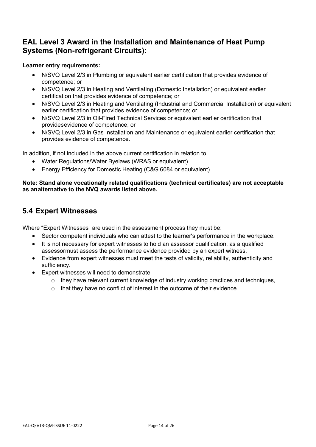### **EAL Level 3 Award in the Installation and Maintenance of Heat Pump Systems (Non-refrigerant Circuits):**

#### **Learner entry requirements:**

- N/SVQ Level 2/3 in Plumbing or equivalent earlier certification that provides evidence of competence; or
- N/SVQ Level 2/3 in Heating and Ventilating (Domestic Installation) or equivalent earlier certification that provides evidence of competence; or
- N/SVQ Level 2/3 in Heating and Ventilating (Industrial and Commercial Installation) or equivalent earlier certification that provides evidence of competence; or
- N/SVQ Level 2/3 in Oil-Fired Technical Services or equivalent earlier certification that providesevidence of competence; or
- N/SVQ Level 2/3 in Gas Installation and Maintenance or equivalent earlier certification that provides evidence of competence.

In addition, if not included in the above current certification in relation to:

- Water Regulations/Water Byelaws (WRAS or equivalent)
- Energy Efficiency for Domestic Heating (C&G 6084 or equivalent)

#### **Note: Stand alone vocationally related qualifications (technical certificates) are not acceptable as analternative to the NVQ awards listed above.**

## **5.4 Expert Witnesses**

Where "Expert Witnesses" are used in the assessment process they must be:

- Sector competent individuals who can attest to the learner's performance in the workplace.
- It is not necessary for expert witnesses to hold an assessor qualification, as a qualified assessormust assess the performance evidence provided by an expert witness.
- Evidence from expert witnesses must meet the tests of validity, reliability, authenticity and sufficiency.
- Expert witnesses will need to demonstrate:
	- o they have relevant current knowledge of industry working practices and techniques,
	- o that they have no conflict of interest in the outcome of their evidence.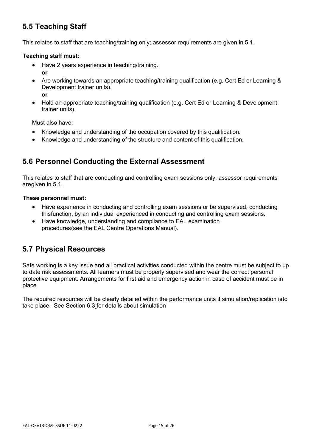## **5.5 Teaching Staff**

This relates to staff that are teaching/training only; assessor requirements are given in 5.1.

#### **Teaching staff must:**

- Have 2 years experience in teaching/training. **or**
- Are working towards an appropriate teaching/training qualification (e.g. Cert Ed or Learning & Development trainer units). **or**
- Hold an appropriate teaching/training qualification (e.g. Cert Ed or Learning & Development trainer units).

Must also have:

- Knowledge and understanding of the occupation covered by this qualification.
- Knowledge and understanding of the structure and content of this qualification.

### **5.6 Personnel Conducting the External Assessment**

This relates to staff that are conducting and controlling exam sessions only; assessor requirements aregiven in 5.1.

#### **These personnel must:**

- Have experience in conducting and controlling exam sessions or be supervised, conducting thisfunction, by an individual experienced in conducting and controlling exam sessions.
- Have knowledge, understanding and compliance to [EAL examination](http://www.eal.org.uk/PDF/EAF1%202008%2012SEP2008.pdf)  [procedures\(](http://www.eal.org.uk/PDF/EAF1%202008%2012SEP2008.pdf)see the EAL Centre Operations Manual).

### **5.7 Physical Resources**

Safe working is a key issue and all practical activities conducted within the centre must be subject to up to date risk assessments. All learners must be properly supervised and wear the correct personal protective equipment. Arrangements for first aid and emergency action in case of accident must be in place.

The required resources will be clearly detailed within the performance units if simulation/replication isto take place. See [Section 6.3](#page-16-0) for details about simulation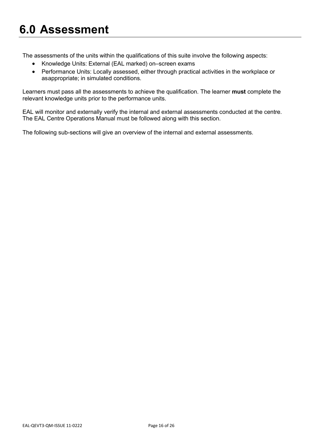## <span id="page-15-0"></span>**6.0 Assessment**

The assessments of the units within the qualifications of this suite involve the following aspects:

- Knowledge Units: External (EAL marked) on–screen exams
- Performance Units: Locally assessed, either through practical activities in the workplace or asappropriate; in simulated conditions.

Learners must pass all the assessments to achieve the qualification. The learner **must** complete the relevant knowledge units prior to the performance units.

EAL will monitor and externally verify the internal and external assessments conducted at the centre. The EAL Centre Operations Manual must be followed along with this section.

The following sub-sections will give an overview of the internal and external assessments.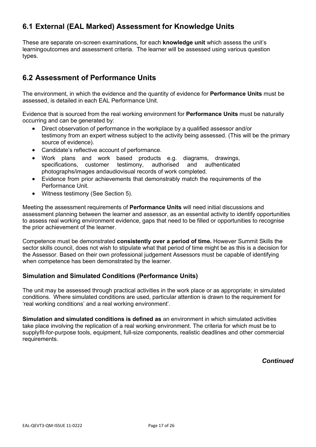## **6.1 External (EAL Marked) Assessment for Knowledge Units**

These are separate on-screen examinations, for each **knowledge unit** which assess the unit's learningoutcomes and assessment criteria. The learner will be assessed using various question types.

## <span id="page-16-0"></span>**6.2 Assessment of Performance Units**

The environment, in which the evidence and the quantity of evidence for **Performance Units** must be assessed, is detailed in each EAL Performance Unit.

Evidence that is sourced from the real working environment for **Performance Units** must be naturally occurring and can be generated by:

- Direct observation of performance in the workplace by a qualified assessor and/or testimony from an expert witness subject to the activity being assessed. (This will be the primary source of evidence).
- Candidate's reflective account of performance.
- Work plans and work based products e.g. diagrams, drawings, specifications, customer testimony, authorised and authenticated photographs/images andaudiovisual records of work completed.
- Evidence from prior achievements that demonstrably match the requirements of the Performance Unit.
- Witness testimony (See [Section](#page-10-0) 5).

Meeting the assessment requirements of **Performance Units** will need initial discussions and assessment planning between the learner and assessor, as an essential activity to identify opportunities to assess real working environment evidence, gaps that need to be filled or opportunities to recognise the prior achievement of the learner.

Competence must be demonstrated **consistently over a period of time.** However Summit Skills the sector skills council, does not wish to stipulate what that period of time might be as this is a decision for the Assessor. Based on their own professional judgement Assessors must be capable of identifying when competence has been demonstrated by the learner.

#### **Simulation and Simulated Conditions (Performance Units)**

The unit may be assessed through practical activities in the work place or as appropriate; in simulated conditions. Where simulated conditions are used, particular attention is drawn to the requirement for 'real working conditions' and a real working environment'.

**Simulation and simulated conditions is defined as** an environment in which simulated activities take place involving the replication of a real working environment. The criteria for which must be to supplyfit-for-purpose tools, equipment, full-size components, realistic deadlines and other commercial requirements.

*Continued*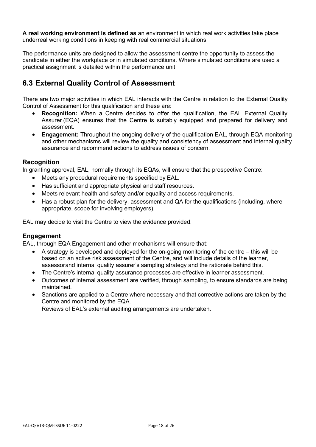**A real working environment is defined as** an environment in which real work activities take place underreal working conditions in keeping with real commercial situations.

The performance units are designed to allow the assessment centre the opportunity to assess the candidate in either the workplace or in simulated conditions. Where simulated conditions are used a practical assignment is detailed within the performance unit.

## **6.3 External Quality Control of Assessment**

There are two major activities in which EAL interacts with the Centre in relation to the External Quality Control of Assessment for this qualification and these are:

- **Recognition:** When a Centre decides to offer the qualification, the EAL External Quality Assurer (EQA) ensures that the Centre is suitably equipped and prepared for delivery and assessment.
- **Engagement:** Throughout the ongoing delivery of the qualification EAL, through EQA monitoring and other mechanisms will review the quality and consistency of assessment and internal quality assurance and recommend actions to address issues of concern.

#### **Recognition**

In granting approval, EAL, normally through its EQAs, will ensure that the prospective Centre:

- Meets any procedural requirements specified by EAL.
- Has sufficient and appropriate physical and staff resources.
- Meets relevant health and safety and/or equality and access requirements.
- Has a robust plan for the delivery, assessment and QA for the qualifications (including, where appropriate, scope for involving employers).

EAL may decide to visit the Centre to view the evidence provided.

#### **Engagement**

EAL, through EQA Engagement and other mechanisms will ensure that:

- A strategy is developed and deployed for the on-going monitoring of the centre this will be based on an active risk assessment of the Centre, and will include details of the learner, assessorand internal quality assurer's sampling strategy and the rationale behind this.
- The Centre's internal quality assurance processes are effective in learner assessment.
- Outcomes of internal assessment are verified, through sampling, to ensure standards are being maintained.
- Sanctions are applied to a Centre where necessary and that corrective actions are taken by the Centre and monitored by the EQA.

Reviews of EAL's external auditing arrangements are undertaken.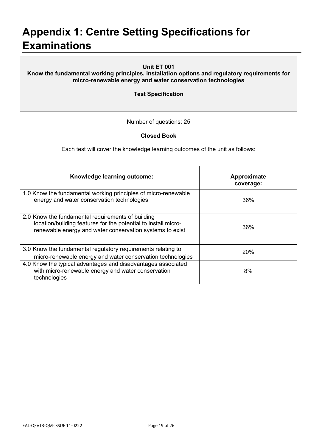## <span id="page-18-0"></span>**Appendix 1: Centre Setting Specifications for Examinations**

| Unit ET 001<br>Know the fundamental working principles, installation options and regulatory requirements for<br>micro-renewable energy and water conservation technologies<br><b>Test Specification</b> |                          |  |  |  |
|---------------------------------------------------------------------------------------------------------------------------------------------------------------------------------------------------------|--------------------------|--|--|--|
| Number of questions: 25                                                                                                                                                                                 |                          |  |  |  |
| <b>Closed Book</b>                                                                                                                                                                                      |                          |  |  |  |
| Each test will cover the knowledge learning outcomes of the unit as follows:                                                                                                                            |                          |  |  |  |
| Knowledge learning outcome:                                                                                                                                                                             | Approximate<br>coverage: |  |  |  |
| 1.0 Know the fundamental working principles of micro-renewable<br>energy and water conservation technologies                                                                                            | 36%                      |  |  |  |
| 2.0 Know the fundamental requirements of building<br>location/building features for the potential to install micro-<br>renewable energy and water conservation systems to exist                         | 36%                      |  |  |  |
| 3.0 Know the fundamental regulatory requirements relating to<br>micro-renewable energy and water conservation technologies                                                                              | 20%                      |  |  |  |
| 4.0 Know the typical advantages and disadvantages associated<br>with micro-renewable energy and water conservation<br>technologies                                                                      | 8%                       |  |  |  |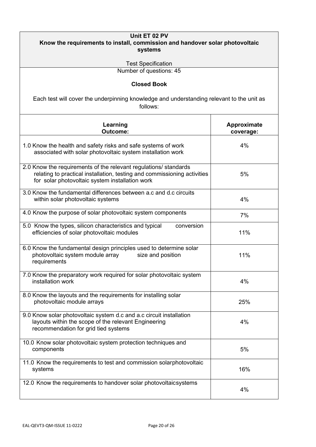| Unit ET 02 PV<br>Know the requirements to install, commission and handover solar photovoltaic<br>systems<br><b>Test Specification</b>                                                           |                                 |  |  |  |
|-------------------------------------------------------------------------------------------------------------------------------------------------------------------------------------------------|---------------------------------|--|--|--|
| Number of questions: 45                                                                                                                                                                         |                                 |  |  |  |
| <b>Closed Book</b><br>Each test will cover the underpinning knowledge and understanding relevant to the unit as<br>follows:                                                                     |                                 |  |  |  |
| Learning<br>Outcome:                                                                                                                                                                            | <b>Approximate</b><br>coverage: |  |  |  |
| 1.0 Know the health and safety risks and safe systems of work<br>associated with solar photovoltaic system installation work                                                                    | 4%                              |  |  |  |
| 2.0 Know the requirements of the relevant regulations/ standards<br>relating to practical installation, testing and commissioning activities<br>for solar photovoltaic system installation work | 5%                              |  |  |  |
| 3.0 Know the fundamental differences between a.c and d.c circuits<br>within solar photovoltaic systems                                                                                          | 4%                              |  |  |  |
| 4.0 Know the purpose of solar photovoltaic system components                                                                                                                                    | 7%                              |  |  |  |
| 5.0 Know the types, silicon characteristics and typical<br>conversion<br>efficiencies of solar photovoltaic modules                                                                             | 11%                             |  |  |  |
| 6.0 Know the fundamental design principles used to determine solar<br>photovoltaic system module array<br>size and position<br>requirements                                                     | 11%                             |  |  |  |
| 7.0 Know the preparatory work required for solar photovoltaic system<br>installation work                                                                                                       | 4%                              |  |  |  |
| 8.0 Know the layouts and the requirements for installing solar<br>photovoltaic module arrays                                                                                                    | 25%                             |  |  |  |
| 9.0 Know solar photovoltaic system d.c and a.c circuit installation<br>layouts within the scope of the relevant Engineering<br>recommendation for grid tied systems                             | 4%                              |  |  |  |
| 10.0 Know solar photovoltaic system protection techniques and<br>components                                                                                                                     | 5%                              |  |  |  |
| 11.0 Know the requirements to test and commission solarphotovoltaic<br>systems                                                                                                                  | 16%                             |  |  |  |
| 12.0 Know the requirements to handover solar photovoltaicsystems                                                                                                                                | 4%                              |  |  |  |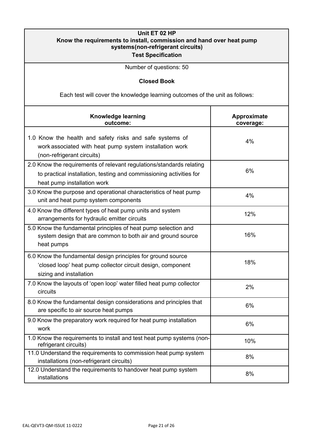| Unit ET 02 HP<br>Know the requirements to install, commission and hand over heat pump<br>systems(non-refrigerant circuits)<br><b>Test Specification</b>                    |                                 |  |  |  |
|----------------------------------------------------------------------------------------------------------------------------------------------------------------------------|---------------------------------|--|--|--|
| Number of questions: 50                                                                                                                                                    |                                 |  |  |  |
| <b>Closed Book</b>                                                                                                                                                         |                                 |  |  |  |
| Each test will cover the knowledge learning outcomes of the unit as follows:                                                                                               |                                 |  |  |  |
| Knowledge learning<br>outcome:                                                                                                                                             | <b>Approximate</b><br>coverage: |  |  |  |
| 1.0 Know the health and safety risks and safe systems of<br>work associated with heat pump system installation work<br>(non-refrigerant circuits)                          | 4%                              |  |  |  |
| 2.0 Know the requirements of relevant regulations/standards relating<br>to practical installation, testing and commissioning activities for<br>heat pump installation work | 6%                              |  |  |  |
| 3.0 Know the purpose and operational characteristics of heat pump<br>unit and heat pump system components                                                                  | 4%                              |  |  |  |
| 4.0 Know the different types of heat pump units and system<br>arrangements for hydraulic emitter circuits                                                                  | 12%                             |  |  |  |
| 5.0 Know the fundamental principles of heat pump selection and<br>system design that are common to both air and ground source<br>heat pumps                                | 16%                             |  |  |  |
| 6.0 Know the fundamental design principles for ground source<br>'closed loop' heat pump collector circuit design, component<br>sizing and installation                     | 18%                             |  |  |  |
| 7.0 Know the layouts of 'open loop' water filled heat pump collector<br>circuits                                                                                           | 2%                              |  |  |  |
| 8.0 Know the fundamental design considerations and principles that<br>are specific to air source heat pumps                                                                | 6%                              |  |  |  |
| 9.0 Know the preparatory work required for heat pump installation<br>work                                                                                                  | 6%                              |  |  |  |
| 1.0 Know the requirements to install and test heat pump systems (non-<br>refrigerant circuits)                                                                             | 10%                             |  |  |  |
| 11.0 Understand the requirements to commission heat pump system<br>installations (non-refrigerant circuits)                                                                | 8%                              |  |  |  |
| 12.0 Understand the requirements to handover heat pump system<br>installations                                                                                             | 8%                              |  |  |  |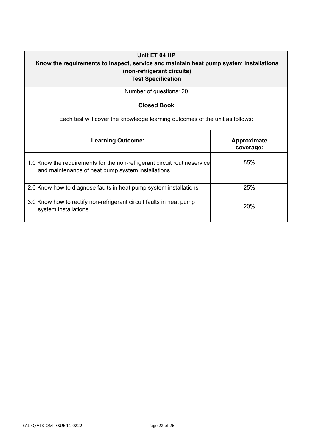#### **Unit ET 04 HP**

### **Know the requirements to inspect, service and maintain heat pump system installations (non-refrigerant circuits) Test Specification**

Number of questions: 20

#### **Closed Book**

Each test will cover the knowledge learning outcomes of the unit as follows:

| <b>Learning Outcome:</b>                                                                                                      | Approximate<br>coverage: |
|-------------------------------------------------------------------------------------------------------------------------------|--------------------------|
| 1.0 Know the requirements for the non-refrigerant circuit routineservice<br>and maintenance of heat pump system installations | 55%                      |
| 2.0 Know how to diagnose faults in heat pump system installations                                                             | 25%                      |
| 3.0 Know how to rectify non-refrigerant circuit faults in heat pump<br>system installations                                   | 20%                      |